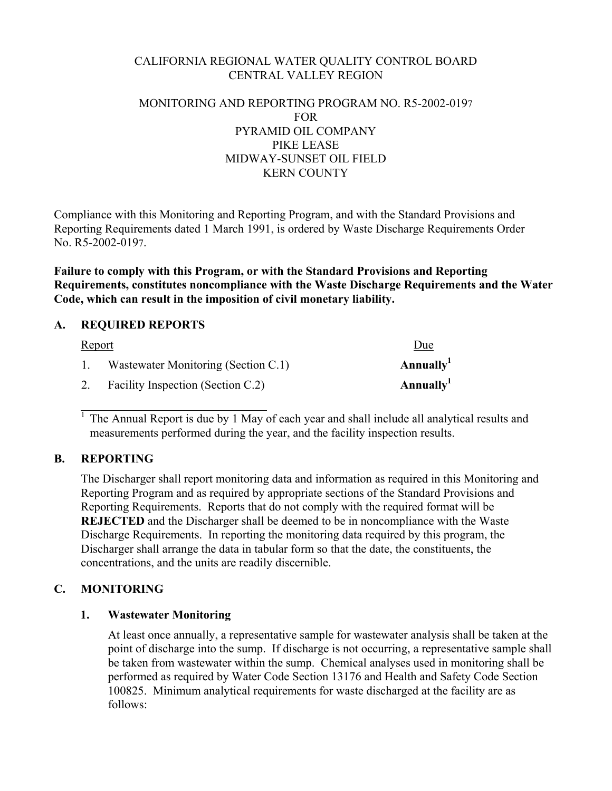## CALIFORNIA REGIONAL WATER QUALITY CONTROL BOARD CENTRAL VALLEY REGION

### MONITORING AND REPORTING PROGRAM NO. R5-2002-0197 FOR PYRAMID OIL COMPANY PIKE LEASE MIDWAY-SUNSET OIL FIELD KERN COUNTY

Compliance with this Monitoring and Reporting Program, and with the Standard Provisions and Reporting Requirements dated 1 March 1991, is ordered by Waste Discharge Requirements Order No. R5-2002-0197.

**Failure to comply with this Program, or with the Standard Provisions and Reporting Requirements, constitutes noncompliance with the Waste Discharge Requirements and the Water Code, which can result in the imposition of civil monetary liability.** 

## **A. REQUIRED REPORTS**

| <u>Report</u> |                                     | Due                   |
|---------------|-------------------------------------|-----------------------|
|               | Wastewater Monitoring (Section C.1) | Annually <sup>1</sup> |
| 2.            | Facility Inspection (Section C.2)   | Annually <sup>1</sup> |

1 The Annual Report is due by 1 May of each year and shall include all analytical results and measurements performed during the year, and the facility inspection results.

### **B. REPORTING**

 $\overline{a}$ 

The Discharger shall report monitoring data and information as required in this Monitoring and Reporting Program and as required by appropriate sections of the Standard Provisions and Reporting Requirements. Reports that do not comply with the required format will be **REJECTED** and the Discharger shall be deemed to be in noncompliance with the Waste Discharge Requirements. In reporting the monitoring data required by this program, the Discharger shall arrange the data in tabular form so that the date, the constituents, the concentrations, and the units are readily discernible.

## **C. MONITORING**

## **1. Wastewater Monitoring**

At least once annually, a representative sample for wastewater analysis shall be taken at the point of discharge into the sump. If discharge is not occurring, a representative sample shall be taken from wastewater within the sump. Chemical analyses used in monitoring shall be performed as required by Water Code Section 13176 and Health and Safety Code Section 100825. Minimum analytical requirements for waste discharged at the facility are as follows: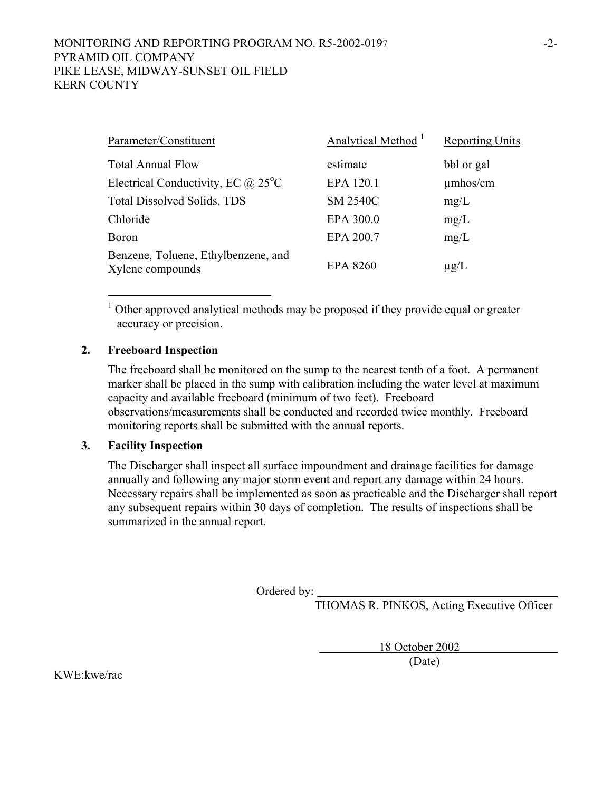### MONITORING AND REPORTING PROGRAM NO. R5-2002-0197 PYRAMID OIL COMPANY PIKE LEASE, MIDWAY-SUNSET OIL FIELD KERN COUNTY

| Parameter/Constituent                                   | Analytical Method <sup>1</sup> | <b>Reporting Units</b> |
|---------------------------------------------------------|--------------------------------|------------------------|
| <b>Total Annual Flow</b>                                | estimate                       | bbl or gal             |
| Electrical Conductivity, EC $\omega$ 25 <sup>o</sup> C  | EPA 120.1                      | $\mu$ mhos/cm          |
| Total Dissolved Solids, TDS                             | <b>SM 2540C</b>                | mg/L                   |
| Chloride                                                | EPA 300.0                      | mg/L                   |
| <b>Boron</b>                                            | EPA 200.7                      | mg/L                   |
| Benzene, Toluene, Ethylbenzene, and<br>Xylene compounds | <b>EPA 8260</b>                | $\mu$ g/L              |

<sup>1</sup> Other approved analytical methods may be proposed if they provide equal or greater accuracy or precision.

### **2. Freeboard Inspection**

 $\overline{a}$ 

The freeboard shall be monitored on the sump to the nearest tenth of a foot. A permanent marker shall be placed in the sump with calibration including the water level at maximum capacity and available freeboard (minimum of two feet). Freeboard observations/measurements shall be conducted and recorded twice monthly. Freeboard monitoring reports shall be submitted with the annual reports.

### **3. Facility Inspection**

The Discharger shall inspect all surface impoundment and drainage facilities for damage annually and following any major storm event and report any damage within 24 hours. Necessary repairs shall be implemented as soon as practicable and the Discharger shall report any subsequent repairs within 30 days of completion. The results of inspections shall be summarized in the annual report.

Ordered by:

THOMAS R. PINKOS, Acting Executive Officer

18 October 2002

(Date)

KWE:kwe/rac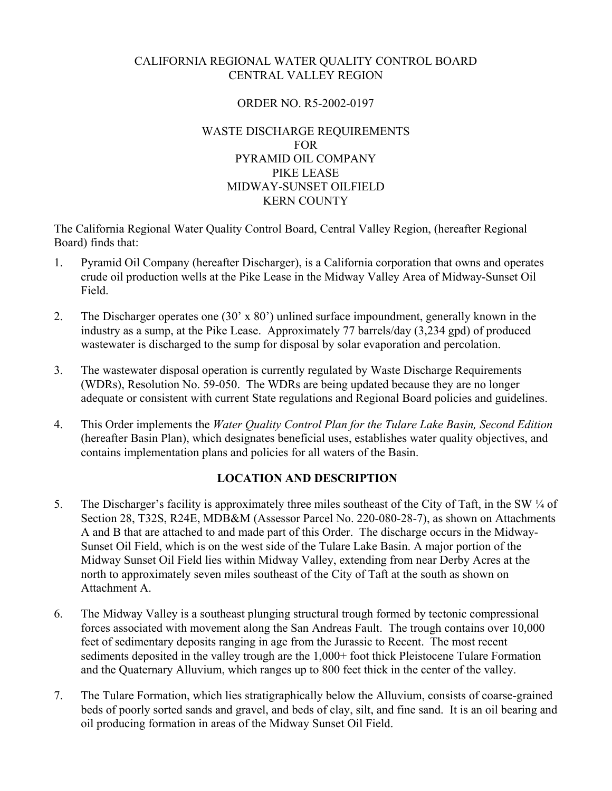## CALIFORNIA REGIONAL WATER QUALITY CONTROL BOARD CENTRAL VALLEY REGION

### ORDER NO. R5-2002-0197

### WASTE DISCHARGE REQUIREMENTS FOR PYRAMID OIL COMPANY PIKE LEASE MIDWAY-SUNSET OILFIELD KERN COUNTY

The California Regional Water Quality Control Board, Central Valley Region, (hereafter Regional Board) finds that:

- 1. Pyramid Oil Company (hereafter Discharger), is a California corporation that owns and operates crude oil production wells at the Pike Lease in the Midway Valley Area of Midway-Sunset Oil Field.
- 2. The Discharger operates one (30' x 80') unlined surface impoundment, generally known in the industry as a sump, at the Pike Lease. Approximately 77 barrels/day (3,234 gpd) of produced wastewater is discharged to the sump for disposal by solar evaporation and percolation.
- 3. The wastewater disposal operation is currently regulated by Waste Discharge Requirements (WDRs), Resolution No. 59-050. The WDRs are being updated because they are no longer adequate or consistent with current State regulations and Regional Board policies and guidelines.
- 4. This Order implements the *Water Quality Control Plan for the Tulare Lake Basin, Second Edition*  (hereafter Basin Plan), which designates beneficial uses, establishes water quality objectives, and contains implementation plans and policies for all waters of the Basin.

# **LOCATION AND DESCRIPTION**

- 5. The Discharger's facility is approximately three miles southeast of the City of Taft, in the SW ¼ of Section 28, T32S, R24E, MDB&M (Assessor Parcel No. 220-080-28-7), as shown on Attachments A and B that are attached to and made part of this Order. The discharge occurs in the Midway-Sunset Oil Field, which is on the west side of the Tulare Lake Basin. A major portion of the Midway Sunset Oil Field lies within Midway Valley, extending from near Derby Acres at the north to approximately seven miles southeast of the City of Taft at the south as shown on Attachment A.
- 6. The Midway Valley is a southeast plunging structural trough formed by tectonic compressional forces associated with movement along the San Andreas Fault. The trough contains over 10,000 feet of sedimentary deposits ranging in age from the Jurassic to Recent. The most recent sediments deposited in the valley trough are the 1,000+ foot thick Pleistocene Tulare Formation and the Quaternary Alluvium, which ranges up to 800 feet thick in the center of the valley.
- 7. The Tulare Formation, which lies stratigraphically below the Alluvium, consists of coarse-grained beds of poorly sorted sands and gravel, and beds of clay, silt, and fine sand. It is an oil bearing and oil producing formation in areas of the Midway Sunset Oil Field.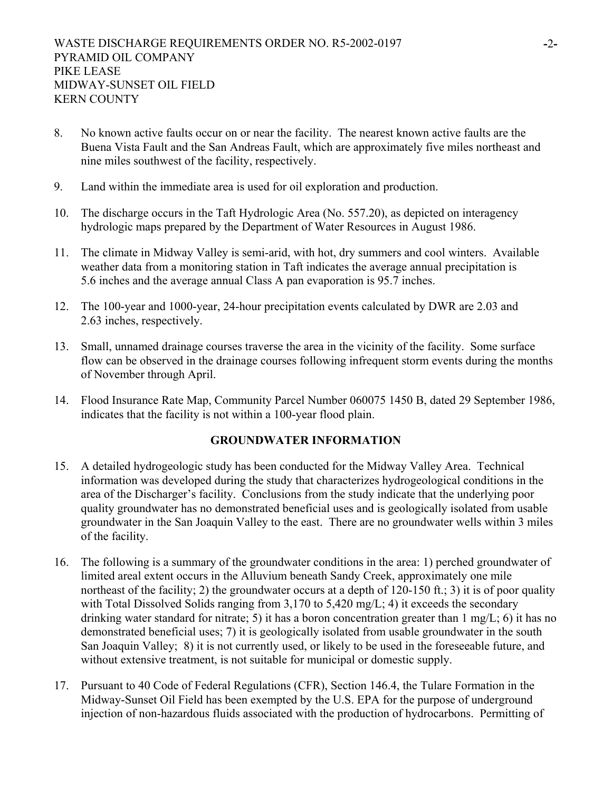- 8. No known active faults occur on or near the facility. The nearest known active faults are the Buena Vista Fault and the San Andreas Fault, which are approximately five miles northeast and nine miles southwest of the facility, respectively.
- 9. Land within the immediate area is used for oil exploration and production.
- 10. The discharge occurs in the Taft Hydrologic Area (No. 557.20), as depicted on interagency hydrologic maps prepared by the Department of Water Resources in August 1986.
- 11. The climate in Midway Valley is semi-arid, with hot, dry summers and cool winters. Available weather data from a monitoring station in Taft indicates the average annual precipitation is 5.6 inches and the average annual Class A pan evaporation is 95.7 inches.
- 12. The 100-year and 1000-year, 24-hour precipitation events calculated by DWR are 2.03 and 2.63 inches, respectively.
- 13. Small, unnamed drainage courses traverse the area in the vicinity of the facility. Some surface flow can be observed in the drainage courses following infrequent storm events during the months of November through April.
- 14. Flood Insurance Rate Map, Community Parcel Number 060075 1450 B, dated 29 September 1986, indicates that the facility is not within a 100-year flood plain.

## **GROUNDWATER INFORMATION**

- 15. A detailed hydrogeologic study has been conducted for the Midway Valley Area. Technical information was developed during the study that characterizes hydrogeological conditions in the area of the Discharger's facility. Conclusions from the study indicate that the underlying poor quality groundwater has no demonstrated beneficial uses and is geologically isolated from usable groundwater in the San Joaquin Valley to the east. There are no groundwater wells within 3 miles of the facility.
- 16. The following is a summary of the groundwater conditions in the area: 1) perched groundwater of limited areal extent occurs in the Alluvium beneath Sandy Creek, approximately one mile northeast of the facility; 2) the groundwater occurs at a depth of 120-150 ft.; 3) it is of poor quality with Total Dissolved Solids ranging from 3,170 to 5,420 mg/L; 4) it exceeds the secondary drinking water standard for nitrate; 5) it has a boron concentration greater than 1 mg/L; 6) it has no demonstrated beneficial uses; 7) it is geologically isolated from usable groundwater in the south San Joaquin Valley; 8) it is not currently used, or likely to be used in the foreseeable future, and without extensive treatment, is not suitable for municipal or domestic supply.
- 17. Pursuant to 40 Code of Federal Regulations (CFR), Section 146.4, the Tulare Formation in the Midway-Sunset Oil Field has been exempted by the U.S. EPA for the purpose of underground injection of non-hazardous fluids associated with the production of hydrocarbons. Permitting of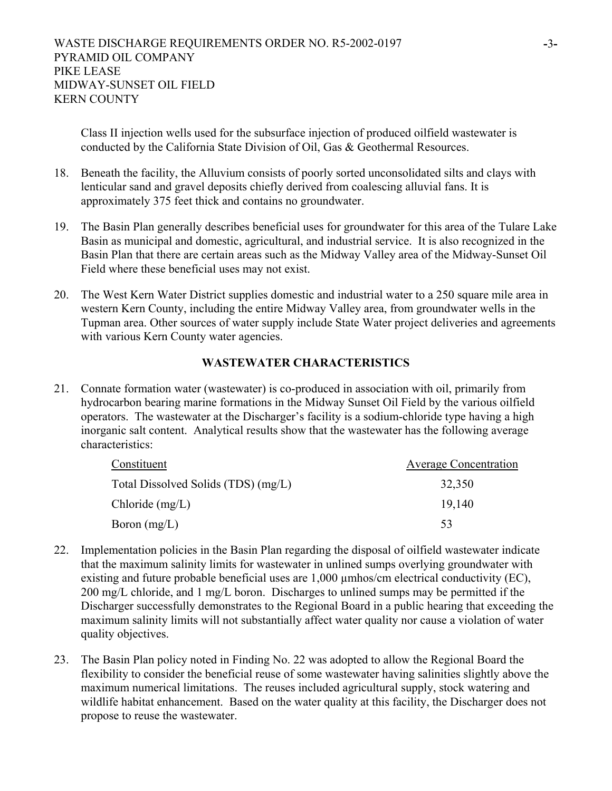Class II injection wells used for the subsurface injection of produced oilfield wastewater is conducted by the California State Division of Oil, Gas & Geothermal Resources.

- 18. Beneath the facility, the Alluvium consists of poorly sorted unconsolidated silts and clays with lenticular sand and gravel deposits chiefly derived from coalescing alluvial fans. It is approximately 375 feet thick and contains no groundwater.
- 19. The Basin Plan generally describes beneficial uses for groundwater for this area of the Tulare Lake Basin as municipal and domestic, agricultural, and industrial service. It is also recognized in the Basin Plan that there are certain areas such as the Midway Valley area of the Midway-Sunset Oil Field where these beneficial uses may not exist.
- 20. The West Kern Water District supplies domestic and industrial water to a 250 square mile area in western Kern County, including the entire Midway Valley area, from groundwater wells in the Tupman area. Other sources of water supply include State Water project deliveries and agreements with various Kern County water agencies.

## **WASTEWATER CHARACTERISTICS**

21. Connate formation water (wastewater) is co-produced in association with oil, primarily from hydrocarbon bearing marine formations in the Midway Sunset Oil Field by the various oilfield operators. The wastewater at the Discharger's facility is a sodium-chloride type having a high inorganic salt content. Analytical results show that the wastewater has the following average characteristics:

| Constituent                         | <b>Average Concentration</b> |  |
|-------------------------------------|------------------------------|--|
| Total Dissolved Solids (TDS) (mg/L) | 32,350                       |  |
| Chloride $(mg/L)$                   | 19.140                       |  |
| Boron $(mg/L)$                      | 53                           |  |

- 22. Implementation policies in the Basin Plan regarding the disposal of oilfield wastewater indicate that the maximum salinity limits for wastewater in unlined sumps overlying groundwater with existing and future probable beneficial uses are 1,000 µmhos/cm electrical conductivity (EC), 200 mg/L chloride, and 1 mg/L boron. Discharges to unlined sumps may be permitted if the Discharger successfully demonstrates to the Regional Board in a public hearing that exceeding the maximum salinity limits will not substantially affect water quality nor cause a violation of water quality objectives.
- 23. The Basin Plan policy noted in Finding No. 22 was adopted to allow the Regional Board the flexibility to consider the beneficial reuse of some wastewater having salinities slightly above the maximum numerical limitations. The reuses included agricultural supply, stock watering and wildlife habitat enhancement. Based on the water quality at this facility, the Discharger does not propose to reuse the wastewater.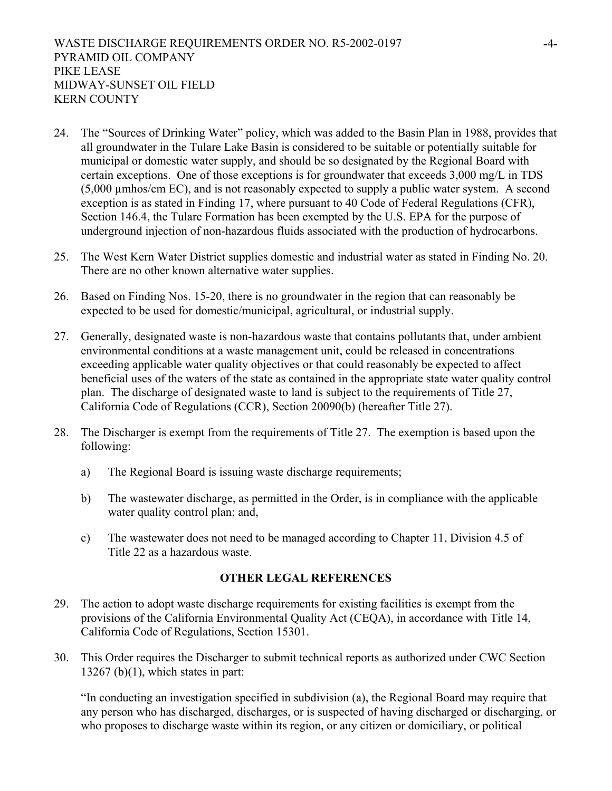- 24. The "Sources of Drinking Water" policy, which was added to the Basin Plan in 1988, provides that all groundwater in the Tulare Lake Basin is considered to be suitable or potentially suitable for municipal or domestic water supply, and should be so designated by the Regional Board with certain exceptions. One of those exceptions is for groundwater that exceeds 3,000 mg/L in TDS (5,000 µmhos/cm EC), and is not reasonably expected to supply a public water system. A second exception is as stated in Finding 17, where pursuant to 40 Code of Federal Regulations (CFR), Section 146.4, the Tulare Formation has been exempted by the U.S. EPA for the purpose of underground injection of non-hazardous fluids associated with the production of hydrocarbons.
- 25. The West Kern Water District supplies domestic and industrial water as stated in Finding No. 20. There are no other known alternative water supplies.
- 26. Based on Finding Nos. 15-20, there is no groundwater in the region that can reasonably be expected to be used for domestic/municipal, agricultural, or industrial supply.
- 27. Generally, designated waste is non-hazardous waste that contains pollutants that, under ambient environmental conditions at a waste management unit, could be released in concentrations exceeding applicable water quality objectives or that could reasonably be expected to affect beneficial uses of the waters of the state as contained in the appropriate state water quality control plan. The discharge of designated waste to land is subject to the requirements of Title 27, California Code of Regulations (CCR), Section 20090(b) (hereafter Title 27).
- 28. The Discharger is exempt from the requirements of Title 27. The exemption is based upon the following:
	- a) The Regional Board is issuing waste discharge requirements;
	- b) The wastewater discharge, as permitted in the Order, is in compliance with the applicable water quality control plan; and,
	- c) The wastewater does not need to be managed according to Chapter 11, Division 4.5 of Title 22 as a hazardous waste.

### **OTHER LEGAL REFERENCES**

- 29. The action to adopt waste discharge requirements for existing facilities is exempt from the provisions of the California Environmental Quality Act (CEQA), in accordance with Title 14, California Code of Regulations, Section 15301.
- 30. This Order requires the Discharger to submit technical reports as authorized under CWC Section  $13267$  (b)(1), which states in part:

"In conducting an investigation specified in subdivision (a), the Regional Board may require that any person who has discharged, discharges, or is suspected of having discharged or discharging, or who proposes to discharge waste within its region, or any citizen or domiciliary, or political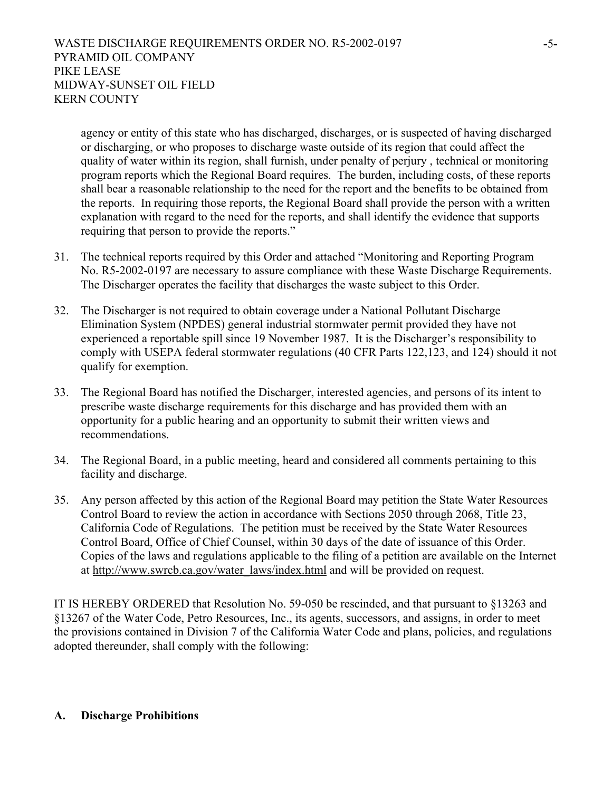agency or entity of this state who has discharged, discharges, or is suspected of having discharged or discharging, or who proposes to discharge waste outside of its region that could affect the quality of water within its region, shall furnish, under penalty of perjury , technical or monitoring program reports which the Regional Board requires. The burden, including costs, of these reports shall bear a reasonable relationship to the need for the report and the benefits to be obtained from the reports. In requiring those reports, the Regional Board shall provide the person with a written explanation with regard to the need for the reports, and shall identify the evidence that supports requiring that person to provide the reports."

- 31. The technical reports required by this Order and attached "Monitoring and Reporting Program No. R5-2002-0197 are necessary to assure compliance with these Waste Discharge Requirements. The Discharger operates the facility that discharges the waste subject to this Order.
- 32. The Discharger is not required to obtain coverage under a National Pollutant Discharge Elimination System (NPDES) general industrial stormwater permit provided they have not experienced a reportable spill since 19 November 1987. It is the Discharger's responsibility to comply with USEPA federal stormwater regulations (40 CFR Parts 122,123, and 124) should it not qualify for exemption.
- 33. The Regional Board has notified the Discharger, interested agencies, and persons of its intent to prescribe waste discharge requirements for this discharge and has provided them with an opportunity for a public hearing and an opportunity to submit their written views and recommendations.
- 34. The Regional Board, in a public meeting, heard and considered all comments pertaining to this facility and discharge.
- 35. Any person affected by this action of the Regional Board may petition the State Water Resources Control Board to review the action in accordance with Sections 2050 through 2068, Title 23, California Code of Regulations. The petition must be received by the State Water Resources Control Board, Office of Chief Counsel, within 30 days of the date of issuance of this Order. Copies of the laws and regulations applicable to the filing of a petition are available on the Internet at http://www.swrcb.ca.gov/water\_laws/index.html and will be provided on request.

IT IS HEREBY ORDERED that Resolution No. 59-050 be rescinded, and that pursuant to §13263 and §13267 of the Water Code, Petro Resources, Inc., its agents, successors, and assigns, in order to meet the provisions contained in Division 7 of the California Water Code and plans, policies, and regulations adopted thereunder, shall comply with the following:

### **A. Discharge Prohibitions**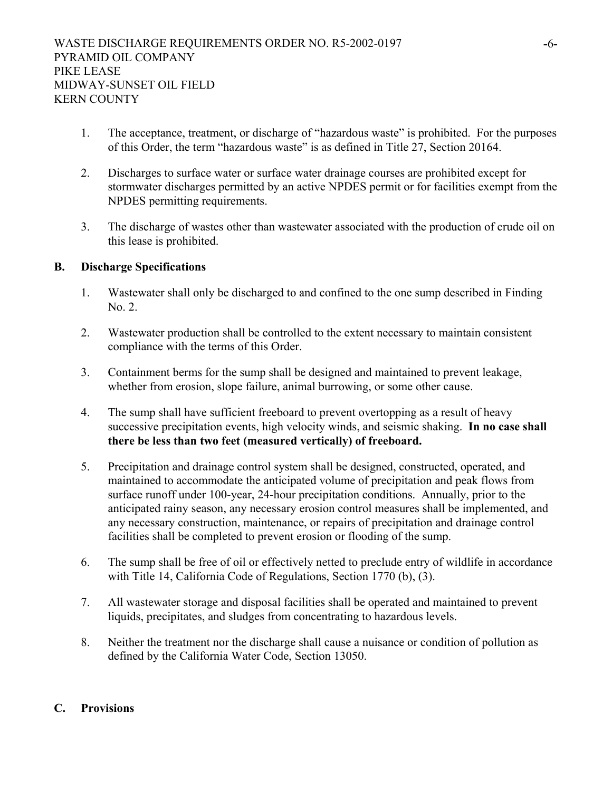- 1. The acceptance, treatment, or discharge of "hazardous waste" is prohibited. For the purposes of this Order, the term "hazardous waste" is as defined in Title 27, Section 20164.
- 2. Discharges to surface water or surface water drainage courses are prohibited except for stormwater discharges permitted by an active NPDES permit or for facilities exempt from the NPDES permitting requirements.
- 3. The discharge of wastes other than wastewater associated with the production of crude oil on this lease is prohibited.

### **B. Discharge Specifications**

- 1. Wastewater shall only be discharged to and confined to the one sump described in Finding No. 2.
- 2. Wastewater production shall be controlled to the extent necessary to maintain consistent compliance with the terms of this Order.
- 3. Containment berms for the sump shall be designed and maintained to prevent leakage, whether from erosion, slope failure, animal burrowing, or some other cause.
- 4. The sump shall have sufficient freeboard to prevent overtopping as a result of heavy successive precipitation events, high velocity winds, and seismic shaking. **In no case shall there be less than two feet (measured vertically) of freeboard.**
- 5. Precipitation and drainage control system shall be designed, constructed, operated, and maintained to accommodate the anticipated volume of precipitation and peak flows from surface runoff under 100-year, 24-hour precipitation conditions. Annually, prior to the anticipated rainy season, any necessary erosion control measures shall be implemented, and any necessary construction, maintenance, or repairs of precipitation and drainage control facilities shall be completed to prevent erosion or flooding of the sump.
- 6. The sump shall be free of oil or effectively netted to preclude entry of wildlife in accordance with Title 14, California Code of Regulations, Section 1770 (b), (3).
- 7. All wastewater storage and disposal facilities shall be operated and maintained to prevent liquids, precipitates, and sludges from concentrating to hazardous levels.
- 8. Neither the treatment nor the discharge shall cause a nuisance or condition of pollution as defined by the California Water Code, Section 13050.

## **C. Provisions**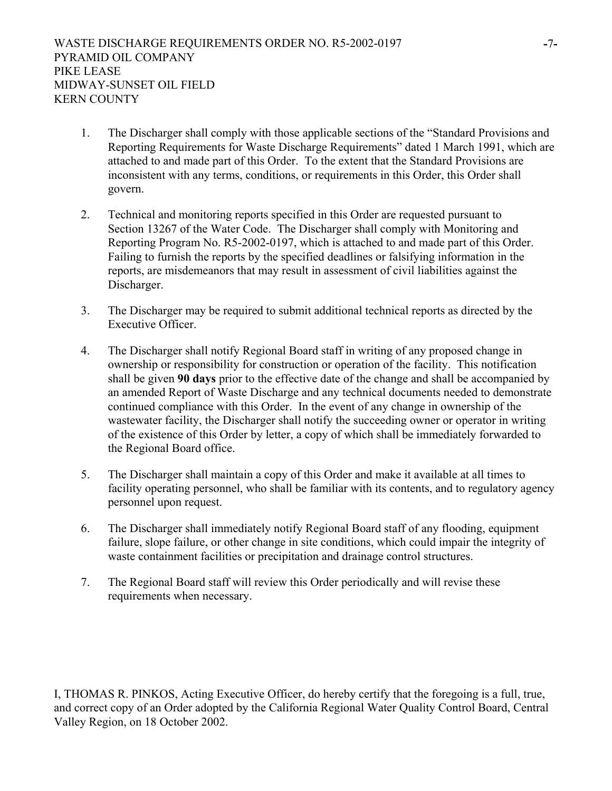- 1. The Discharger shall comply with those applicable sections of the "Standard Provisions and Reporting Requirements for Waste Discharge Requirements" dated 1 March 1991, which are attached to and made part of this Order. To the extent that the Standard Provisions are inconsistent with any terms, conditions, or requirements in this Order, this Order shall govern.
- 2. Technical and monitoring reports specified in this Order are requested pursuant to Section 13267 of the Water Code. The Discharger shall comply with Monitoring and Reporting Program No. R5-2002-0197, which is attached to and made part of this Order. Failing to furnish the reports by the specified deadlines or falsifying information in the reports, are misdemeanors that may result in assessment of civil liabilities against the Discharger.
- 3. The Discharger may be required to submit additional technical reports as directed by the Executive Officer.
- 4. The Discharger shall notify Regional Board staff in writing of any proposed change in ownership or responsibility for construction or operation of the facility. This notification shall be given **90 days** prior to the effective date of the change and shall be accompanied by an amended Report of Waste Discharge and any technical documents needed to demonstrate continued compliance with this Order. In the event of any change in ownership of the wastewater facility, the Discharger shall notify the succeeding owner or operator in writing of the existence of this Order by letter, a copy of which shall be immediately forwarded to the Regional Board office.
- 5. The Discharger shall maintain a copy of this Order and make it available at all times to facility operating personnel, who shall be familiar with its contents, and to regulatory agency personnel upon request.
- 6. The Discharger shall immediately notify Regional Board staff of any flooding, equipment failure, slope failure, or other change in site conditions, which could impair the integrity of waste containment facilities or precipitation and drainage control structures.
- 7. The Regional Board staff will review this Order periodically and will revise these requirements when necessary.

I, THOMAS R. PINKOS, Acting Executive Officer, do hereby certify that the foregoing is a full, true, and correct copy of an Order adopted by the California Regional Water Quality Control Board, Central Valley Region, on 18 October 2002.